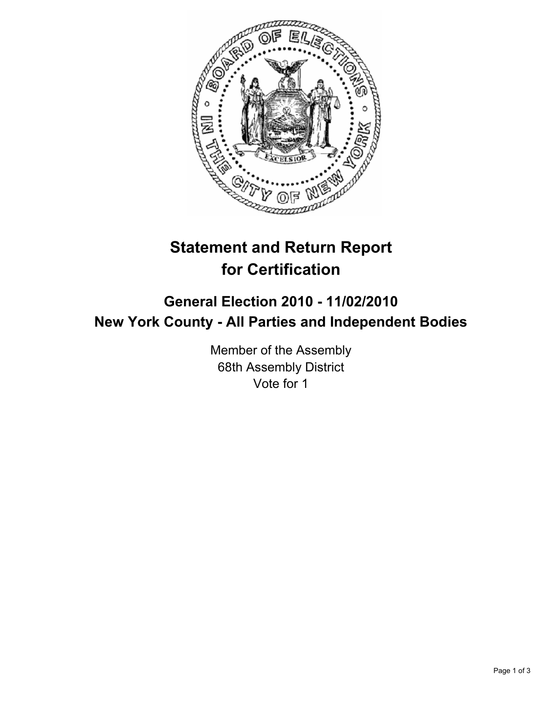

## **Statement and Return Report for Certification**

## **General Election 2010 - 11/02/2010 New York County - All Parties and Independent Bodies**

Member of the Assembly 68th Assembly District Vote for 1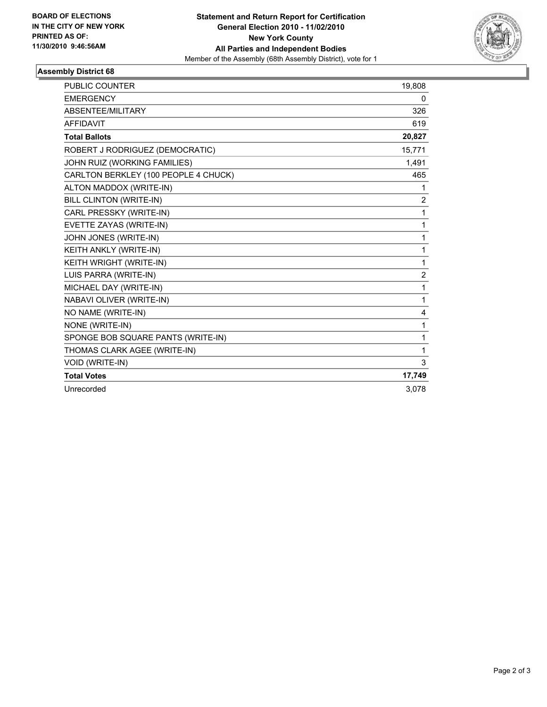

## **Assembly District 68**

| PUBLIC COUNTER                       | 19,808         |
|--------------------------------------|----------------|
| <b>EMERGENCY</b>                     | 0              |
| ABSENTEE/MILITARY                    | 326            |
| <b>AFFIDAVIT</b>                     | 619            |
| <b>Total Ballots</b>                 | 20,827         |
| ROBERT J RODRIGUEZ (DEMOCRATIC)      | 15,771         |
| JOHN RUIZ (WORKING FAMILIES)         | 1,491          |
| CARLTON BERKLEY (100 PEOPLE 4 CHUCK) | 465            |
| ALTON MADDOX (WRITE-IN)              | 1              |
| <b>BILL CLINTON (WRITE-IN)</b>       | $\overline{2}$ |
| CARL PRESSKY (WRITE-IN)              | 1              |
| EVETTE ZAYAS (WRITE-IN)              | 1              |
| JOHN JONES (WRITE-IN)                | 1              |
| KEITH ANKLY (WRITE-IN)               | 1              |
| KEITH WRIGHT (WRITE-IN)              | 1              |
| LUIS PARRA (WRITE-IN)                | $\overline{2}$ |
| MICHAEL DAY (WRITE-IN)               | 1              |
| NABAVI OLIVER (WRITE-IN)             | 1              |
| NO NAME (WRITE-IN)                   | 4              |
| NONE (WRITE-IN)                      | 1              |
| SPONGE BOB SQUARE PANTS (WRITE-IN)   | 1              |
| THOMAS CLARK AGEE (WRITE-IN)         | 1              |
| <b>VOID (WRITE-IN)</b>               | 3              |
| <b>Total Votes</b>                   | 17,749         |
| Unrecorded                           | 3,078          |